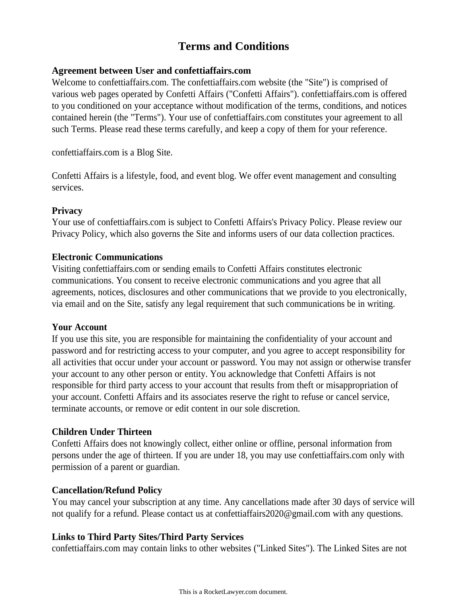# **Terms and Conditions**

### **Agreement between User and confettiaffairs.com**

Welcome to confettiaffairs.com. The confettiaffairs.com website (the "Site") is comprised of various web pages operated by Confetti Affairs ("Confetti Affairs"). confettiaffairs.com is offered to you conditioned on your acceptance without modification of the terms, conditions, and notices contained herein (the "Terms"). Your use of confettiaffairs.com constitutes your agreement to all such Terms. Please read these terms carefully, and keep a copy of them for your reference.

confettiaffairs.com is a Blog Site.

Confetti Affairs is a lifestyle, food, and event blog. We offer event management and consulting services.

### **Privacy**

Your use of confettiaffairs.com is subject to Confetti Affairs's Privacy Policy. Please review our Privacy Policy, which also governs the Site and informs users of our data collection practices.

### **Electronic Communications**

Visiting confettiaffairs.com or sending emails to Confetti Affairs constitutes electronic communications. You consent to receive electronic communications and you agree that all agreements, notices, disclosures and other communications that we provide to you electronically, via email and on the Site, satisfy any legal requirement that such communications be in writing.

#### **Your Account**

If you use this site, you are responsible for maintaining the confidentiality of your account and password and for restricting access to your computer, and you agree to accept responsibility for all activities that occur under your account or password. You may not assign or otherwise transfer your account to any other person or entity. You acknowledge that Confetti Affairs is not responsible for third party access to your account that results from theft or misappropriation of your account. Confetti Affairs and its associates reserve the right to refuse or cancel service, terminate accounts, or remove or edit content in our sole discretion.

## **Children Under Thirteen**

Confetti Affairs does not knowingly collect, either online or offline, personal information from persons under the age of thirteen. If you are under 18, you may use confettiaffairs.com only with permission of a parent or guardian.

## **Cancellation/Refund Policy**

You may cancel your subscription at any time. Any cancellations made after 30 days of service will not qualify for a refund. Please contact us at confettiaffairs2020@gmail.com with any questions.

## **Links to Third Party Sites/Third Party Services**

confettiaffairs.com may contain links to other websites ("Linked Sites"). The Linked Sites are not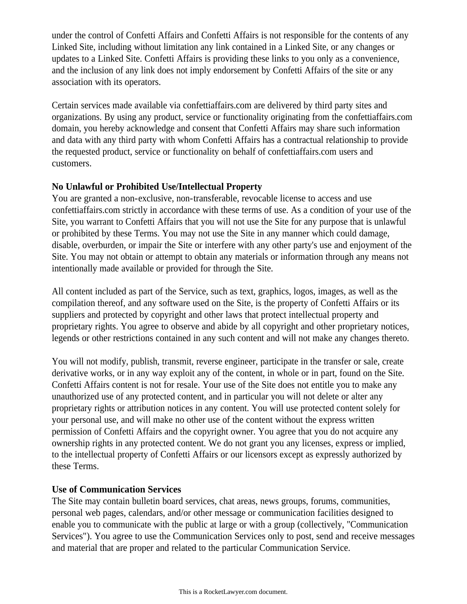under the control of Confetti Affairs and Confetti Affairs is not responsible for the contents of any Linked Site, including without limitation any link contained in a Linked Site, or any changes or updates to a Linked Site. Confetti Affairs is providing these links to you only as a convenience, and the inclusion of any link does not imply endorsement by Confetti Affairs of the site or any association with its operators.

Certain services made available via confettiaffairs.com are delivered by third party sites and organizations. By using any product, service or functionality originating from the confettiaffairs.com domain, you hereby acknowledge and consent that Confetti Affairs may share such information and data with any third party with whom Confetti Affairs has a contractual relationship to provide the requested product, service or functionality on behalf of confettiaffairs.com users and customers.

## **No Unlawful or Prohibited Use/Intellectual Property**

You are granted a non-exclusive, non-transferable, revocable license to access and use confettiaffairs.com strictly in accordance with these terms of use. As a condition of your use of the Site, you warrant to Confetti Affairs that you will not use the Site for any purpose that is unlawful or prohibited by these Terms. You may not use the Site in any manner which could damage, disable, overburden, or impair the Site or interfere with any other party's use and enjoyment of the Site. You may not obtain or attempt to obtain any materials or information through any means not intentionally made available or provided for through the Site.

All content included as part of the Service, such as text, graphics, logos, images, as well as the compilation thereof, and any software used on the Site, is the property of Confetti Affairs or its suppliers and protected by copyright and other laws that protect intellectual property and proprietary rights. You agree to observe and abide by all copyright and other proprietary notices, legends or other restrictions contained in any such content and will not make any changes thereto.

You will not modify, publish, transmit, reverse engineer, participate in the transfer or sale, create derivative works, or in any way exploit any of the content, in whole or in part, found on the Site. Confetti Affairs content is not for resale. Your use of the Site does not entitle you to make any unauthorized use of any protected content, and in particular you will not delete or alter any proprietary rights or attribution notices in any content. You will use protected content solely for your personal use, and will make no other use of the content without the express written permission of Confetti Affairs and the copyright owner. You agree that you do not acquire any ownership rights in any protected content. We do not grant you any licenses, express or implied, to the intellectual property of Confetti Affairs or our licensors except as expressly authorized by these Terms.

## **Use of Communication Services**

The Site may contain bulletin board services, chat areas, news groups, forums, communities, personal web pages, calendars, and/or other message or communication facilities designed to enable you to communicate with the public at large or with a group (collectively, "Communication Services"). You agree to use the Communication Services only to post, send and receive messages and material that are proper and related to the particular Communication Service.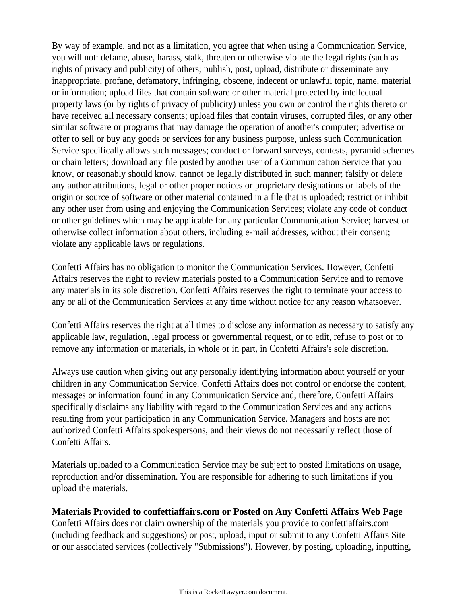By way of example, and not as a limitation, you agree that when using a Communication Service, you will not: defame, abuse, harass, stalk, threaten or otherwise violate the legal rights (such as rights of privacy and publicity) of others; publish, post, upload, distribute or disseminate any inappropriate, profane, defamatory, infringing, obscene, indecent or unlawful topic, name, material or information; upload files that contain software or other material protected by intellectual property laws (or by rights of privacy of publicity) unless you own or control the rights thereto or have received all necessary consents; upload files that contain viruses, corrupted files, or any other similar software or programs that may damage the operation of another's computer; advertise or offer to sell or buy any goods or services for any business purpose, unless such Communication Service specifically allows such messages; conduct or forward surveys, contests, pyramid schemes or chain letters; download any file posted by another user of a Communication Service that you know, or reasonably should know, cannot be legally distributed in such manner; falsify or delete any author attributions, legal or other proper notices or proprietary designations or labels of the origin or source of software or other material contained in a file that is uploaded; restrict or inhibit any other user from using and enjoying the Communication Services; violate any code of conduct or other guidelines which may be applicable for any particular Communication Service; harvest or otherwise collect information about others, including e-mail addresses, without their consent; violate any applicable laws or regulations.

Confetti Affairs has no obligation to monitor the Communication Services. However, Confetti Affairs reserves the right to review materials posted to a Communication Service and to remove any materials in its sole discretion. Confetti Affairs reserves the right to terminate your access to any or all of the Communication Services at any time without notice for any reason whatsoever.

Confetti Affairs reserves the right at all times to disclose any information as necessary to satisfy any applicable law, regulation, legal process or governmental request, or to edit, refuse to post or to remove any information or materials, in whole or in part, in Confetti Affairs's sole discretion.

Always use caution when giving out any personally identifying information about yourself or your children in any Communication Service. Confetti Affairs does not control or endorse the content, messages or information found in any Communication Service and, therefore, Confetti Affairs specifically disclaims any liability with regard to the Communication Services and any actions resulting from your participation in any Communication Service. Managers and hosts are not authorized Confetti Affairs spokespersons, and their views do not necessarily reflect those of Confetti Affairs.

Materials uploaded to a Communication Service may be subject to posted limitations on usage, reproduction and/or dissemination. You are responsible for adhering to such limitations if you upload the materials.

## **Materials Provided to confettiaffairs.com or Posted on Any Confetti Affairs Web Page**

Confetti Affairs does not claim ownership of the materials you provide to confettiaffairs.com (including feedback and suggestions) or post, upload, input or submit to any Confetti Affairs Site or our associated services (collectively "Submissions"). However, by posting, uploading, inputting,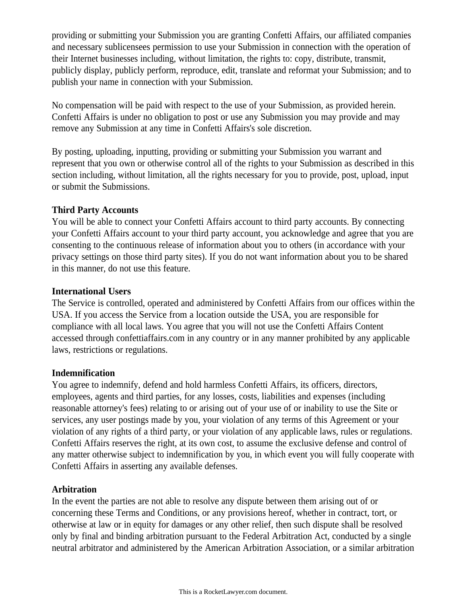providing or submitting your Submission you are granting Confetti Affairs, our affiliated companies and necessary sublicensees permission to use your Submission in connection with the operation of their Internet businesses including, without limitation, the rights to: copy, distribute, transmit, publicly display, publicly perform, reproduce, edit, translate and reformat your Submission; and to publish your name in connection with your Submission.

No compensation will be paid with respect to the use of your Submission, as provided herein. Confetti Affairs is under no obligation to post or use any Submission you may provide and may remove any Submission at any time in Confetti Affairs's sole discretion.

By posting, uploading, inputting, providing or submitting your Submission you warrant and represent that you own or otherwise control all of the rights to your Submission as described in this section including, without limitation, all the rights necessary for you to provide, post, upload, input or submit the Submissions.

### **Third Party Accounts**

You will be able to connect your Confetti Affairs account to third party accounts. By connecting your Confetti Affairs account to your third party account, you acknowledge and agree that you are consenting to the continuous release of information about you to others (in accordance with your privacy settings on those third party sites). If you do not want information about you to be shared in this manner, do not use this feature.

### **International Users**

The Service is controlled, operated and administered by Confetti Affairs from our offices within the USA. If you access the Service from a location outside the USA, you are responsible for compliance with all local laws. You agree that you will not use the Confetti Affairs Content accessed through confettiaffairs.com in any country or in any manner prohibited by any applicable laws, restrictions or regulations.

## **Indemnification**

You agree to indemnify, defend and hold harmless Confetti Affairs, its officers, directors, employees, agents and third parties, for any losses, costs, liabilities and expenses (including reasonable attorney's fees) relating to or arising out of your use of or inability to use the Site or services, any user postings made by you, your violation of any terms of this Agreement or your violation of any rights of a third party, or your violation of any applicable laws, rules or regulations. Confetti Affairs reserves the right, at its own cost, to assume the exclusive defense and control of any matter otherwise subject to indemnification by you, in which event you will fully cooperate with Confetti Affairs in asserting any available defenses.

## **Arbitration**

In the event the parties are not able to resolve any dispute between them arising out of or concerning these Terms and Conditions, or any provisions hereof, whether in contract, tort, or otherwise at law or in equity for damages or any other relief, then such dispute shall be resolved only by final and binding arbitration pursuant to the Federal Arbitration Act, conducted by a single neutral arbitrator and administered by the American Arbitration Association, or a similar arbitration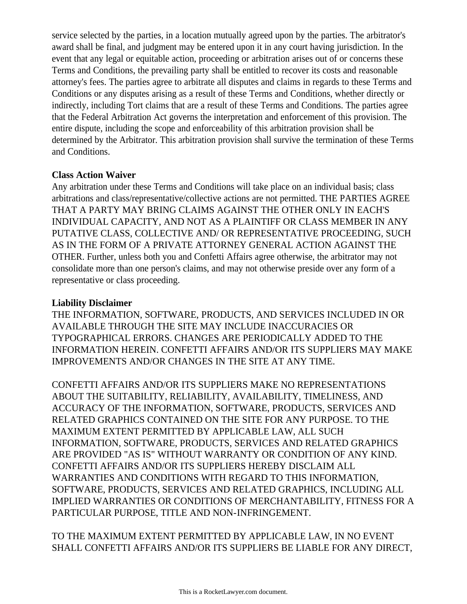service selected by the parties, in a location mutually agreed upon by the parties. The arbitrator's award shall be final, and judgment may be entered upon it in any court having jurisdiction. In the event that any legal or equitable action, proceeding or arbitration arises out of or concerns these Terms and Conditions, the prevailing party shall be entitled to recover its costs and reasonable attorney's fees. The parties agree to arbitrate all disputes and claims in regards to these Terms and Conditions or any disputes arising as a result of these Terms and Conditions, whether directly or indirectly, including Tort claims that are a result of these Terms and Conditions. The parties agree that the Federal Arbitration Act governs the interpretation and enforcement of this provision. The entire dispute, including the scope and enforceability of this arbitration provision shall be determined by the Arbitrator. This arbitration provision shall survive the termination of these Terms and Conditions.

## **Class Action Waiver**

Any arbitration under these Terms and Conditions will take place on an individual basis; class arbitrations and class/representative/collective actions are not permitted. THE PARTIES AGREE THAT A PARTY MAY BRING CLAIMS AGAINST THE OTHER ONLY IN EACH'S INDIVIDUAL CAPACITY, AND NOT AS A PLAINTIFF OR CLASS MEMBER IN ANY PUTATIVE CLASS, COLLECTIVE AND/ OR REPRESENTATIVE PROCEEDING, SUCH AS IN THE FORM OF A PRIVATE ATTORNEY GENERAL ACTION AGAINST THE OTHER. Further, unless both you and Confetti Affairs agree otherwise, the arbitrator may not consolidate more than one person's claims, and may not otherwise preside over any form of a representative or class proceeding.

#### **Liability Disclaimer**

THE INFORMATION, SOFTWARE, PRODUCTS, AND SERVICES INCLUDED IN OR AVAILABLE THROUGH THE SITE MAY INCLUDE INACCURACIES OR TYPOGRAPHICAL ERRORS. CHANGES ARE PERIODICALLY ADDED TO THE INFORMATION HEREIN. CONFETTI AFFAIRS AND/OR ITS SUPPLIERS MAY MAKE IMPROVEMENTS AND/OR CHANGES IN THE SITE AT ANY TIME.

CONFETTI AFFAIRS AND/OR ITS SUPPLIERS MAKE NO REPRESENTATIONS ABOUT THE SUITABILITY, RELIABILITY, AVAILABILITY, TIMELINESS, AND ACCURACY OF THE INFORMATION, SOFTWARE, PRODUCTS, SERVICES AND RELATED GRAPHICS CONTAINED ON THE SITE FOR ANY PURPOSE. TO THE MAXIMUM EXTENT PERMITTED BY APPLICABLE LAW, ALL SUCH INFORMATION, SOFTWARE, PRODUCTS, SERVICES AND RELATED GRAPHICS ARE PROVIDED "AS IS" WITHOUT WARRANTY OR CONDITION OF ANY KIND. CONFETTI AFFAIRS AND/OR ITS SUPPLIERS HEREBY DISCLAIM ALL WARRANTIES AND CONDITIONS WITH REGARD TO THIS INFORMATION, SOFTWARE, PRODUCTS, SERVICES AND RELATED GRAPHICS, INCLUDING ALL IMPLIED WARRANTIES OR CONDITIONS OF MERCHANTABILITY, FITNESS FOR A PARTICULAR PURPOSE, TITLE AND NON-INFRINGEMENT.

TO THE MAXIMUM EXTENT PERMITTED BY APPLICABLE LAW, IN NO EVENT SHALL CONFETTI AFFAIRS AND/OR ITS SUPPLIERS BE LIABLE FOR ANY DIRECT,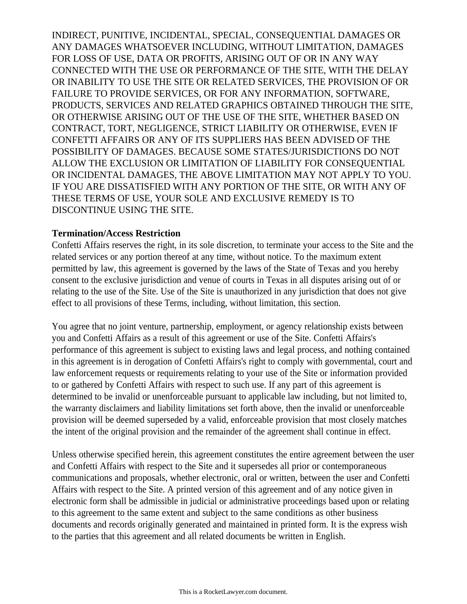INDIRECT, PUNITIVE, INCIDENTAL, SPECIAL, CONSEQUENTIAL DAMAGES OR ANY DAMAGES WHATSOEVER INCLUDING, WITHOUT LIMITATION, DAMAGES FOR LOSS OF USE, DATA OR PROFITS, ARISING OUT OF OR IN ANY WAY CONNECTED WITH THE USE OR PERFORMANCE OF THE SITE, WITH THE DELAY OR INABILITY TO USE THE SITE OR RELATED SERVICES, THE PROVISION OF OR FAILURE TO PROVIDE SERVICES, OR FOR ANY INFORMATION, SOFTWARE, PRODUCTS, SERVICES AND RELATED GRAPHICS OBTAINED THROUGH THE SITE, OR OTHERWISE ARISING OUT OF THE USE OF THE SITE, WHETHER BASED ON CONTRACT, TORT, NEGLIGENCE, STRICT LIABILITY OR OTHERWISE, EVEN IF CONFETTI AFFAIRS OR ANY OF ITS SUPPLIERS HAS BEEN ADVISED OF THE POSSIBILITY OF DAMAGES. BECAUSE SOME STATES/JURISDICTIONS DO NOT ALLOW THE EXCLUSION OR LIMITATION OF LIABILITY FOR CONSEQUENTIAL OR INCIDENTAL DAMAGES, THE ABOVE LIMITATION MAY NOT APPLY TO YOU. IF YOU ARE DISSATISFIED WITH ANY PORTION OF THE SITE, OR WITH ANY OF THESE TERMS OF USE, YOUR SOLE AND EXCLUSIVE REMEDY IS TO DISCONTINUE USING THE SITE.

#### **Termination/Access Restriction**

Confetti Affairs reserves the right, in its sole discretion, to terminate your access to the Site and the related services or any portion thereof at any time, without notice. To the maximum extent permitted by law, this agreement is governed by the laws of the State of Texas and you hereby consent to the exclusive jurisdiction and venue of courts in Texas in all disputes arising out of or relating to the use of the Site. Use of the Site is unauthorized in any jurisdiction that does not give effect to all provisions of these Terms, including, without limitation, this section.

You agree that no joint venture, partnership, employment, or agency relationship exists between you and Confetti Affairs as a result of this agreement or use of the Site. Confetti Affairs's performance of this agreement is subject to existing laws and legal process, and nothing contained in this agreement is in derogation of Confetti Affairs's right to comply with governmental, court and law enforcement requests or requirements relating to your use of the Site or information provided to or gathered by Confetti Affairs with respect to such use. If any part of this agreement is determined to be invalid or unenforceable pursuant to applicable law including, but not limited to, the warranty disclaimers and liability limitations set forth above, then the invalid or unenforceable provision will be deemed superseded by a valid, enforceable provision that most closely matches the intent of the original provision and the remainder of the agreement shall continue in effect.

Unless otherwise specified herein, this agreement constitutes the entire agreement between the user and Confetti Affairs with respect to the Site and it supersedes all prior or contemporaneous communications and proposals, whether electronic, oral or written, between the user and Confetti Affairs with respect to the Site. A printed version of this agreement and of any notice given in electronic form shall be admissible in judicial or administrative proceedings based upon or relating to this agreement to the same extent and subject to the same conditions as other business documents and records originally generated and maintained in printed form. It is the express wish to the parties that this agreement and all related documents be written in English.